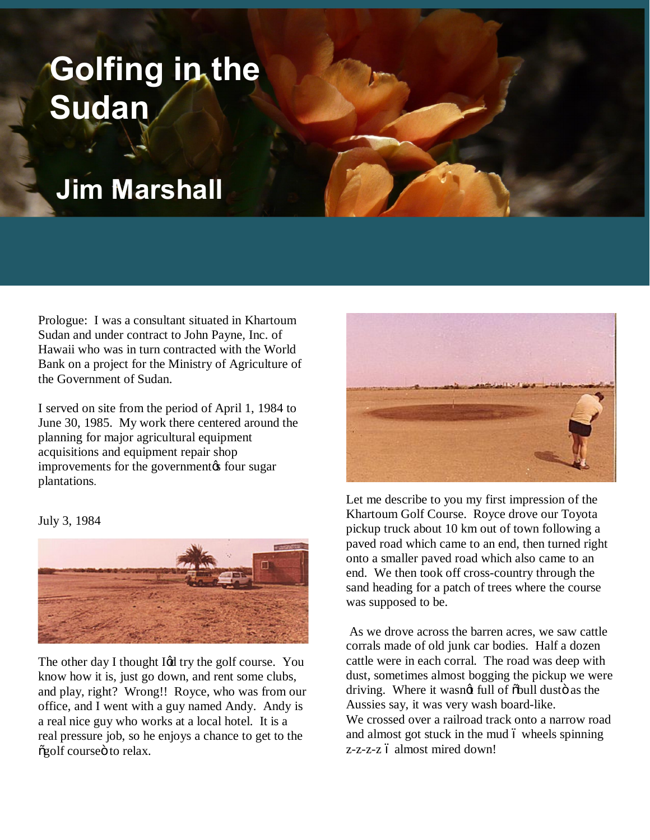## **Golfing in the Sudan**

## **Jim Marshall**

Prologue: I was a consultant situated in Khartoum Sudan and under contract to John Payne, Inc. of Hawaii who was in turn contracted with the World Bank on a project for the Ministry of Agriculture of the Government of Sudan.

I served on site from the period of April 1, 1984 to June 30, 1985. My work there centered around the planning for major agricultural equipment acquisitions and equipment repair shop improvements for the government to four sugar plantations.

July 3, 1984



The other day I thought I¢d try the golf course. You know how it is, just go down, and rent some clubs, and play, right? Wrong!! Royce, who was from our office, and I went with a guy named Andy. Andy is a real nice guy who works at a local hotel. It is a real pressure job, so he enjoys a chance to get to the õgolf courseö to relax.



Let me describe to you my first impression of the Khartoum Golf Course. Royce drove our Toyota pickup truck about 10 km out of town following a paved road which came to an end, then turned right onto a smaller paved road which also came to an end. We then took off cross-country through the sand heading for a patch of trees where the course was supposed to be.

As we drove across the barren acres, we saw cattle corrals made of old junk car bodies. Half a dozen cattle were in each corral. The road was deep with dust, sometimes almost bogging the pickup we were driving. Where it wasngt full of  $\delta$ bull dusto as the Aussies say, it was very wash board-like. We crossed over a railroad track onto a narrow road and almost got stuck in the mud 6 wheels spinning z-z-z-z ó almost mired down!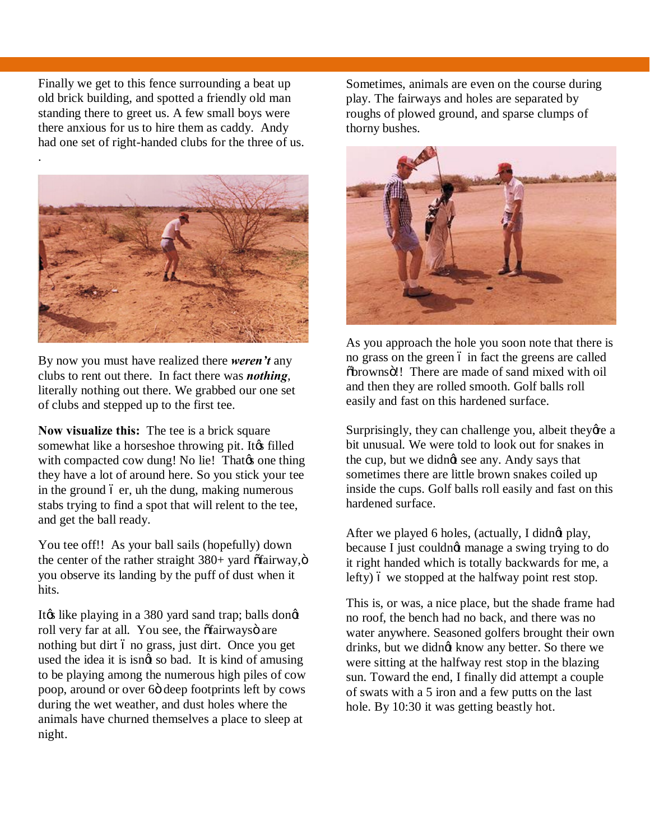Finally we get to this fence surrounding a beat up old brick building, and spotted a friendly old man standing there to greet us. A few small boys were there anxious for us to hire them as caddy. Andy had one set of right-handed clubs for the three of us.



By now you must have realized there *weren't* any clubs to rent out there. In fact there was *nothing*, literally nothing out there. We grabbed our one set of clubs and stepped up to the first tee.

**Now visualize this:** The tee is a brick square somewhat like a horseshoe throwing pit. It a filled with compacted cow dung! No lie! That  $\alpha$  one thing they have a lot of around here. So you stick your tee in the ground  $\acute{o}$  er, uh the dung, making numerous stabs trying to find a spot that will relent to the tee, and get the ball ready.

You tee off!! As your ball sails (hopefully) down the center of the rather straight  $380+$  yard  $\tilde{\text{ofairway}}, \tilde{\text{of}}$ you observe its landing by the puff of dust when it hits.

It is like playing in a 380 yard sand trap; balls dongt roll very far at all. You see, the õfairwaysö are nothing but dirt 6 no grass, just dirt. Once you get used the idea it is isngt so bad. It is kind of amusing to be playing among the numerous high piles of cow poop, around or over 6 $\ddot{\text{o}}$  deep footprints left by cows during the wet weather, and dust holes where the animals have churned themselves a place to sleep at night.

Sometimes, animals are even on the course during play. The fairways and holes are separated by roughs of plowed ground, and sparse clumps of thorny bushes.



As you approach the hole you soon note that there is no grass on the green 6 in fact the greens are called  $\delta$ brownsö!! There are made of sand mixed with oil and then they are rolled smooth. Golf balls roll easily and fast on this hardened surface.

Surprisingly, they can challenge you, albeit theye a bit unusual. We were told to look out for snakes in the cup, but we didngt see any. Andy says that sometimes there are little brown snakes coiled up inside the cups. Golf balls roll easily and fast on this hardened surface.

After we played 6 holes, (actually, I didnet play, because I just couldnot manage a swing trying to do it right handed which is totally backwards for me, a lefty)  $\acute{o}$  we stopped at the halfway point rest stop.

This is, or was, a nice place, but the shade frame had no roof, the bench had no back, and there was no water anywhere. Seasoned golfers brought their own drinks, but we didnøt know any better. So there we were sitting at the halfway rest stop in the blazing sun. Toward the end, I finally did attempt a couple of swats with a 5 iron and a few putts on the last hole. By 10:30 it was getting beastly hot.